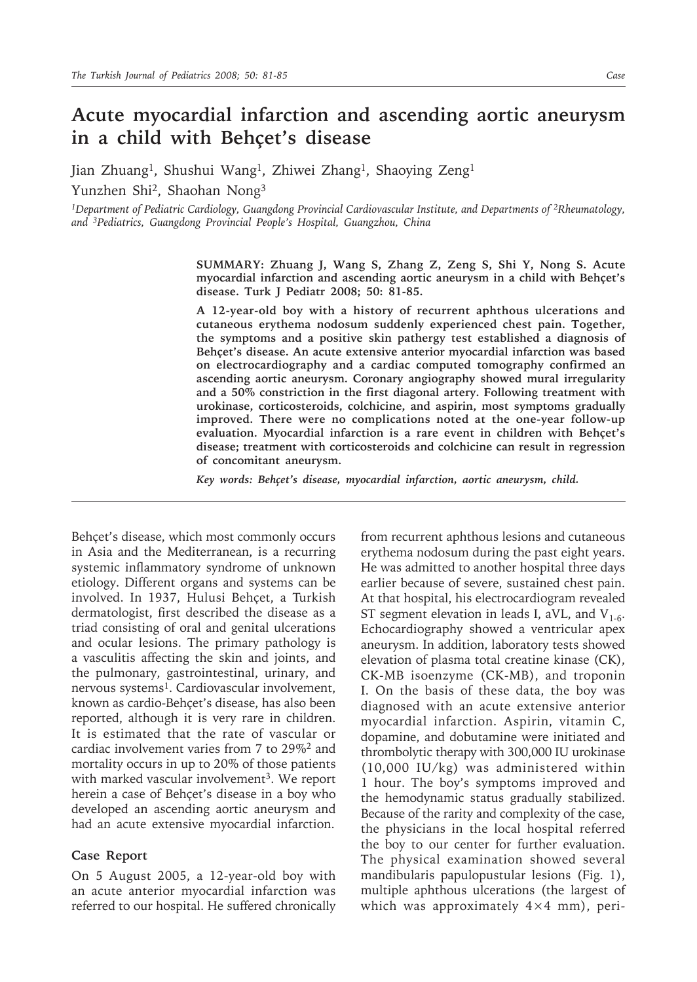## **Acute myocardial infarction and ascending aortic aneurysm in a child with Behçet's disease**

Jian Zhuang<sup>1</sup>, Shushui Wang<sup>1</sup>, Zhiwei Zhang<sup>1</sup>, Shaoying Zeng<sup>1</sup>

Yunzhen Shi2, Shaohan Nong3

*1Department of Pediatric Cardiology, Guangdong Provincial Cardiovascular Institute, and Departments of 2Rheumatology, and 3Pediatrics, Guangdong Provincial People's Hospital, Guangzhou, China*

> **SUMMARY: Zhuang J, Wang S, Zhang Z, Zeng S, Shi Y, Nong S. Acute myocardial infarction and ascending aortic aneurysm in a child with Behçet's disease. Turk J Pediatr 2008; 50: 81-85.**

> **A 12-year-old boy with a history of recurrent aphthous ulcerations and cutaneous erythema nodosum suddenly experienced chest pain. Together, the symptoms and a positive skin pathergy test established a diagnosis of Behçet's disease. An acute extensive anterior myocardial infarction was based on electrocardiography and a cardiac computed tomography confirmed an ascending aortic aneurysm. Coronary angiography showed mural irregularity and a 50% constriction in the first diagonal artery. Following treatment with urokinase, corticosteroids, colchicine, and aspirin, most symptoms gradually improved. There were no complications noted at the one-year follow-up evaluation. Myocardial infarction is a rare event in children with Behçet's disease; treatment with corticosteroids and colchicine can result in regression of concomitant aneurysm.**

*Key words: Behçet's disease, myocardial infarction, aortic aneurysm, child.*

Behçet's disease, which most commonly occurs in Asia and the Mediterranean, is a recurring systemic inflammatory syndrome of unknown etiology. Different organs and systems can be involved. In 1937, Hulusi Behçet, a Turkish dermatologist, first described the disease as a triad consisting of oral and genital ulcerations and ocular lesions. The primary pathology is a vasculitis affecting the skin and joints, and the pulmonary, gastrointestinal, urinary, and nervous systems<sup>1</sup>. Cardiovascular involvement, known as cardio-Behçet's disease, has also been reported, although it is very rare in children. It is estimated that the rate of vascular or cardiac involvement varies from 7 to 29%2 and mortality occurs in up to 20% of those patients with marked vascular involvement<sup>3</sup>. We report herein a case of Behçet's disease in a boy who developed an ascending aortic aneurysm and had an acute extensive myocardial infarction.

## **Case Report**

On 5 August 2005, a 12-year-old boy with an acute anterior myocardial infarction was referred to our hospital. He suffered chronically

from recurrent aphthous lesions and cutaneous erythema nodosum during the past eight years. He was admitted to another hospital three days earlier because of severe, sustained chest pain. At that hospital, his electrocardiogram revealed ST segment elevation in leads I, aVL, and  $V_{1-6}$ . Echocardiography showed a ventricular apex aneurysm. In addition, laboratory tests showed elevation of plasma total creatine kinase (CK), CK-MB isoenzyme (CK-MB), and troponin I. On the basis of these data, the boy was diagnosed with an acute extensive anterior myocardial infarction. Aspirin, vitamin C, dopamine, and dobutamine were initiated and thrombolytic therapy with 300,000 IU urokinase (10,000 IU/kg) was administered within 1 hour. The boy's symptoms improved and the hemodynamic status gradually stabilized. Because of the rarity and complexity of the case, the physicians in the local hospital referred the boy to our center for further evaluation. The physical examination showed several mandibularis papulopustular lesions (Fig. 1), multiple aphthous ulcerations (the largest of which was approximately  $4\times4$  mm), peri-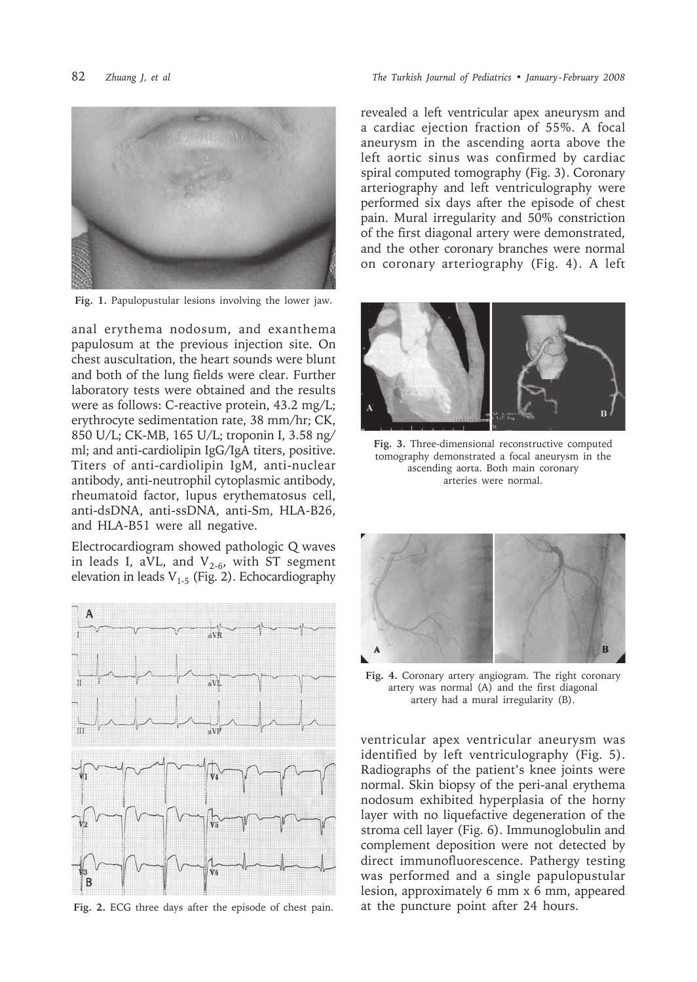



**Fig. 1.** Papulopustular lesions involving the lower jaw.

anal erythema nodosum, and exanthema papulosum at the previous injection site. On chest auscultation, the heart sounds were blunt and both of the lung fields were clear. Further laboratory tests were obtained and the results were as follows: C-reactive protein, 43.2 mg/L; erythrocyte sedimentation rate, 38 mm/hr; CK, 850 U/L; CK-MB, 165 U/L; troponin I, 3.58 ng/ ml; and anti-cardiolipin IgG/IgA titers, positive. Titers of anti-cardiolipin IgM, anti-nuclear antibody, anti-neutrophil cytoplasmic antibody, rheumatoid factor, lupus erythematosus cell, anti-dsDNA, anti-ssDNA, anti-Sm, HLA-B26, and HLA-B51 were all negative.

Electrocardiogram showed pathologic Q waves in leads I, aVL, and  $V_{2-6}$ , with ST segment elevation in leads  $V_{1-5}$  (Fig. 2). Echocardiography



**Fig. 2.** ECG three days after the episode of chest pain.

revealed a left ventricular apex aneurysm and a cardiac ejection fraction of 55%. A focal aneurysm in the ascending aorta above the left aortic sinus was confirmed by cardiac spiral computed tomography (Fig. 3). Coronary arteriography and left ventriculography were performed six days after the episode of chest pain. Mural irregularity and 50% constriction of the first diagonal artery were demonstrated, and the other coronary branches were normal on coronary arteriography (Fig. 4). A left



**Fig. 3.** Three-dimensional reconstructive computed tomography demonstrated a focal aneurysm in the ascending aorta. Both main coronary arteries were normal.



**Fig. 4.** Coronary artery angiogram. The right coronary artery was normal (A) and the first diagonal artery had a mural irregularity (B).

ventricular apex ventricular aneurysm was identified by left ventriculography (Fig. 5). Radiographs of the patient's knee joints were normal. Skin biopsy of the peri-anal erythema nodosum exhibited hyperplasia of the horny layer with no liquefactive degeneration of the stroma cell layer (Fig. 6). Immunoglobulin and complement deposition were not detected by direct immunofluorescence. Pathergy testing was performed and a single papulopustular lesion, approximately 6 mm x 6 mm, appeared at the puncture point after 24 hours.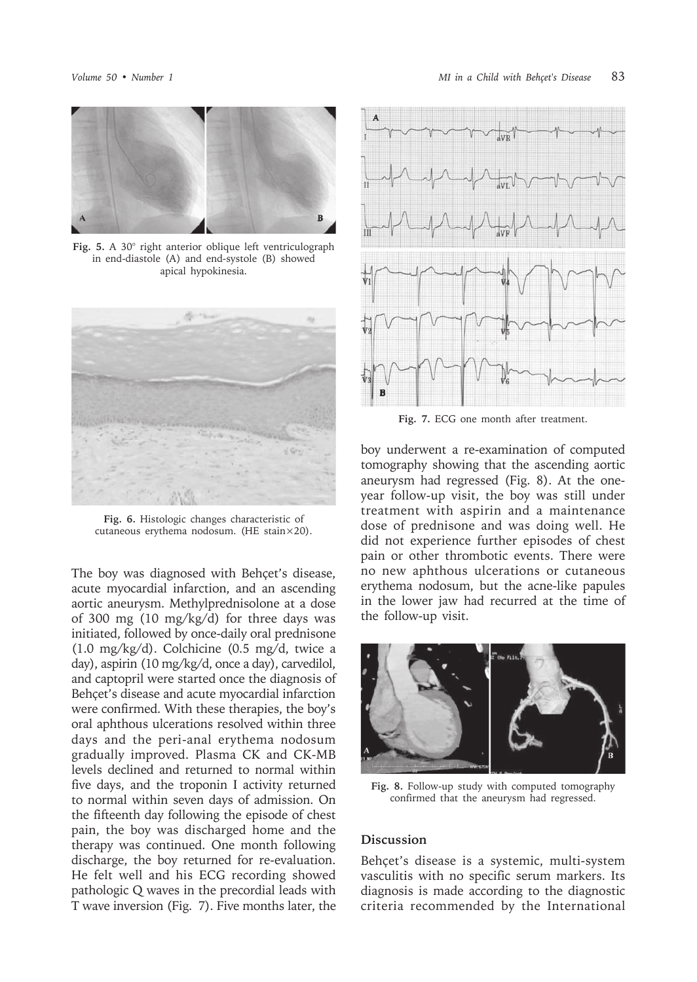

**Fig. 5.** A 30° right anterior oblique left ventriculograph in end-diastole (A) and end-systole (B) showed apical hypokinesia.



**Fig. 6.** Histologic changes characteristic of cutaneous erythema nodosum. (HE stain×20).

The boy was diagnosed with Behçet's disease, acute myocardial infarction, and an ascending aortic aneurysm. Methylprednisolone at a dose of 300 mg (10 mg/kg/d) for three days was initiated, followed by once-daily oral prednisone (1.0 mg/kg/d). Colchicine (0.5 mg/d, twice a day), aspirin (10 mg/kg/d, once a day), carvedilol, and captopril were started once the diagnosis of Behçet's disease and acute myocardial infarction were confirmed. With these therapies, the boy's oral aphthous ulcerations resolved within three days and the peri-anal erythema nodosum gradually improved. Plasma CK and CK-MB levels declined and returned to normal within five days, and the troponin I activity returned to normal within seven days of admission. On the fifteenth day following the episode of chest pain, the boy was discharged home and the therapy was continued. One month following discharge, the boy returned for re-evaluation. He felt well and his ECG recording showed pathologic Q waves in the precordial leads with T wave inversion (Fig. 7). Five months later, the



**Fig. 7.** ECG one month after treatment.

boy underwent a re-examination of computed tomography showing that the ascending aortic aneurysm had regressed (Fig. 8). At the oneyear follow-up visit, the boy was still under treatment with aspirin and a maintenance dose of prednisone and was doing well. He did not experience further episodes of chest pain or other thrombotic events. There were no new aphthous ulcerations or cutaneous erythema nodosum, but the acne-like papules in the lower jaw had recurred at the time of the follow-up visit.



**Fig. 8.** Follow-up study with computed tomography confirmed that the aneurysm had regressed.

## **Discussion**

Behçet's disease is a systemic, multi-system vasculitis with no specific serum markers. Its diagnosis is made according to the diagnostic criteria recommended by the International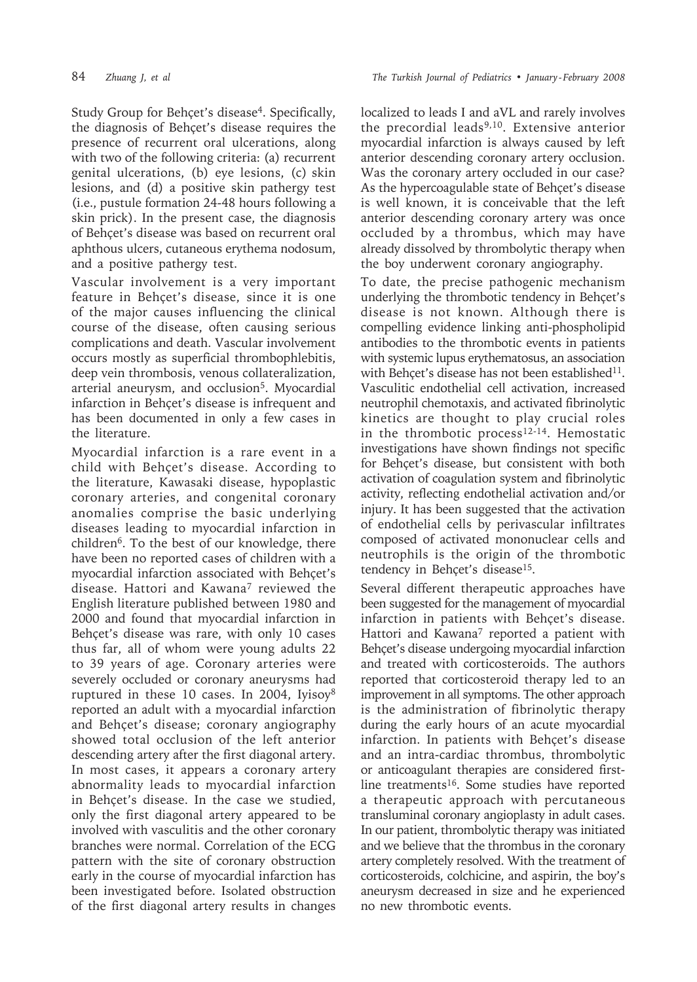Study Group for Behçet's disease4. Specifically, the diagnosis of Behçet's disease requires the presence of recurrent oral ulcerations, along with two of the following criteria: (a) recurrent genital ulcerations, (b) eye lesions, (c) skin lesions, and (d) a positive skin pathergy test (i.e., pustule formation 24-48 hours following a skin prick). In the present case, the diagnosis of Behçet's disease was based on recurrent oral aphthous ulcers, cutaneous erythema nodosum, and a positive pathergy test.

Vascular involvement is a very important feature in Behçet's disease, since it is one of the major causes influencing the clinical course of the disease, often causing serious complications and death. Vascular involvement occurs mostly as superficial thrombophlebitis, deep vein thrombosis, venous collateralization, arterial aneurysm, and occlusion<sup>5</sup>. Myocardial infarction in Behçet's disease is infrequent and has been documented in only a few cases in the literature.

Myocardial infarction is a rare event in a child with Behçet's disease. According to the literature, Kawasaki disease, hypoplastic coronary arteries, and congenital coronary anomalies comprise the basic underlying diseases leading to myocardial infarction in children<sup>6</sup>. To the best of our knowledge, there have been no reported cases of children with a myocardial infarction associated with Behçet's disease. Hattori and Kawana<sup>7</sup> reviewed the English literature published between 1980 and 2000 and found that myocardial infarction in Behçet's disease was rare, with only 10 cases thus far, all of whom were young adults 22 to 39 years of age. Coronary arteries were severely occluded or coronary aneurysms had ruptured in these 10 cases. In 2004, Iyisoy8 reported an adult with a myocardial infarction and Behçet's disease; coronary angiography showed total occlusion of the left anterior descending artery after the first diagonal artery. In most cases, it appears a coronary artery abnormality leads to myocardial infarction in Behçet's disease. In the case we studied, only the first diagonal artery appeared to be involved with vasculitis and the other coronary branches were normal. Correlation of the ECG pattern with the site of coronary obstruction early in the course of myocardial infarction has been investigated before. Isolated obstruction of the first diagonal artery results in changes

localized to leads I and aVL and rarely involves the precordial leads<sup>9,10</sup>. Extensive anterior myocardial infarction is always caused by left anterior descending coronary artery occlusion. Was the coronary artery occluded in our case? As the hypercoagulable state of Behçet's disease is well known, it is conceivable that the left anterior descending coronary artery was once occluded by a thrombus, which may have already dissolved by thrombolytic therapy when the boy underwent coronary angiography.

To date, the precise pathogenic mechanism underlying the thrombotic tendency in Behçet's disease is not known. Although there is compelling evidence linking anti-phospholipid antibodies to the thrombotic events in patients with systemic lupus erythematosus, an association with Behçet's disease has not been established<sup>11</sup>. Vasculitic endothelial cell activation, increased neutrophil chemotaxis, and activated fibrinolytic kinetics are thought to play crucial roles in the thrombotic process<sup>12-14</sup>. Hemostatic investigations have shown findings not specific for Behçet's disease, but consistent with both activation of coagulation system and fibrinolytic activity, reflecting endothelial activation and/or injury. It has been suggested that the activation of endothelial cells by perivascular infiltrates composed of activated mononuclear cells and neutrophils is the origin of the thrombotic tendency in Behçet's disease<sup>15</sup>.

Several different therapeutic approaches have been suggested for the management of myocardial infarction in patients with Behçet's disease. Hattori and Kawana<sup>7</sup> reported a patient with Behçet's disease undergoing myocardial infarction and treated with corticosteroids. The authors reported that corticosteroid therapy led to an improvement in all symptoms. The other approach is the administration of fibrinolytic therapy during the early hours of an acute myocardial infarction. In patients with Behçet's disease and an intra-cardiac thrombus, thrombolytic or anticoagulant therapies are considered firstline treatments16. Some studies have reported a therapeutic approach with percutaneous transluminal coronary angioplasty in adult cases. In our patient, thrombolytic therapy was initiated and we believe that the thrombus in the coronary artery completely resolved. With the treatment of corticosteroids, colchicine, and aspirin, the boy's aneurysm decreased in size and he experienced no new thrombotic events.